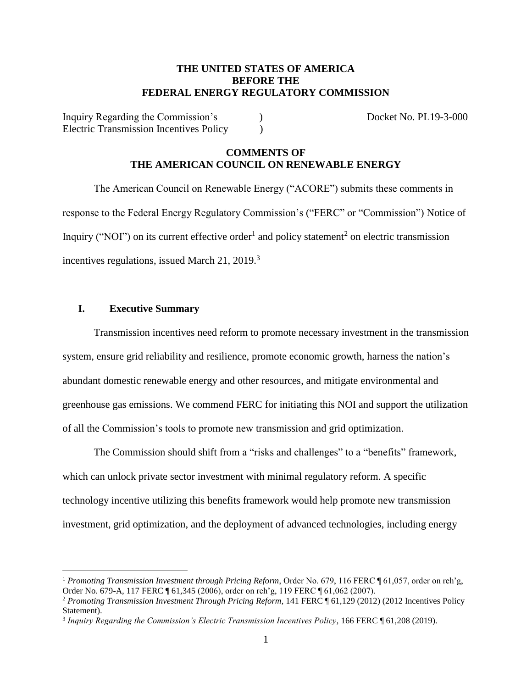# **THE UNITED STATES OF AMERICA BEFORE THE FEDERAL ENERGY REGULATORY COMMISSION**

Inquiry Regarding the Commission's (a) a control blocket No. PL19-3-000 Electric Transmission Incentives Policy )

# **COMMENTS OF THE AMERICAN COUNCIL ON RENEWABLE ENERGY**

The American Council on Renewable Energy ("ACORE") submits these comments in response to the Federal Energy Regulatory Commission's ("FERC" or "Commission") Notice of Inquiry ("NOI") on its current effective order<sup>1</sup> and policy statement<sup>2</sup> on electric transmission incentives regulations, issued March 21, 2019.<sup>3</sup>

### **I. Executive Summary**

l

Transmission incentives need reform to promote necessary investment in the transmission system, ensure grid reliability and resilience, promote economic growth, harness the nation's abundant domestic renewable energy and other resources, and mitigate environmental and greenhouse gas emissions. We commend FERC for initiating this NOI and support the utilization of all the Commission's tools to promote new transmission and grid optimization.

The Commission should shift from a "risks and challenges" to a "benefits" framework, which can unlock private sector investment with minimal regulatory reform. A specific technology incentive utilizing this benefits framework would help promote new transmission investment, grid optimization, and the deployment of advanced technologies, including energy

<sup>1</sup> *Promoting Transmission Investment through Pricing Reform*, Order No. 679, 116 FERC ¶ 61,057, order on reh'g, Order No. 679-A, 117 FERC ¶ 61,345 (2006), order on reh'g, 119 FERC ¶ 61,062 (2007).

<sup>2</sup> *Promoting Transmission Investment Through Pricing Reform*, 141 FERC ¶ 61,129 (2012) (2012 Incentives Policy Statement).

<sup>3</sup> *Inquiry Regarding the Commission's Electric Transmission Incentives Policy*, 166 FERC ¶ 61,208 (2019).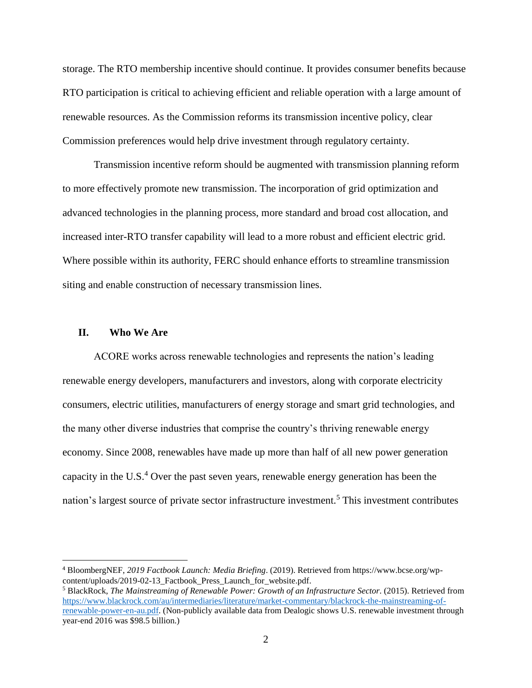storage. The RTO membership incentive should continue. It provides consumer benefits because RTO participation is critical to achieving efficient and reliable operation with a large amount of renewable resources. As the Commission reforms its transmission incentive policy, clear Commission preferences would help drive investment through regulatory certainty.

Transmission incentive reform should be augmented with transmission planning reform to more effectively promote new transmission. The incorporation of grid optimization and advanced technologies in the planning process, more standard and broad cost allocation, and increased inter-RTO transfer capability will lead to a more robust and efficient electric grid. Where possible within its authority, FERC should enhance efforts to streamline transmission siting and enable construction of necessary transmission lines.

#### **II. Who We Are**

 $\overline{\phantom{a}}$ 

ACORE works across renewable technologies and represents the nation's leading renewable energy developers, manufacturers and investors, along with corporate electricity consumers, electric utilities, manufacturers of energy storage and smart grid technologies, and the many other diverse industries that comprise the country's thriving renewable energy economy. Since 2008, renewables have made up more than half of all new power generation capacity in the U.S. $4$  Over the past seven years, renewable energy generation has been the nation's largest source of private sector infrastructure investment.<sup>5</sup> This investment contributes

<sup>4</sup> BloombergNEF, *2019 Factbook Launch: Media Briefing*. (2019). Retrieved from https://www.bcse.org/wpcontent/uploads/2019-02-13\_Factbook\_Press\_Launch\_for\_website.pdf.

<sup>5</sup> BlackRock, *The Mainstreaming of Renewable Power: Growth of an Infrastructure Sector*. (2015). Retrieved from [https://www.blackrock.com/au/intermediaries/literature/market-commentary/blackrock-the-mainstreaming-of](https://www.blackrock.com/au/intermediaries/literature/market-commentary/blackrock-the-mainstreaming-of-renewable-power-en-au.pdf)[renewable-power-en-au.pdf.](https://www.blackrock.com/au/intermediaries/literature/market-commentary/blackrock-the-mainstreaming-of-renewable-power-en-au.pdf) (Non-publicly available data from Dealogic shows U.S. renewable investment through year-end 2016 was \$98.5 billion.)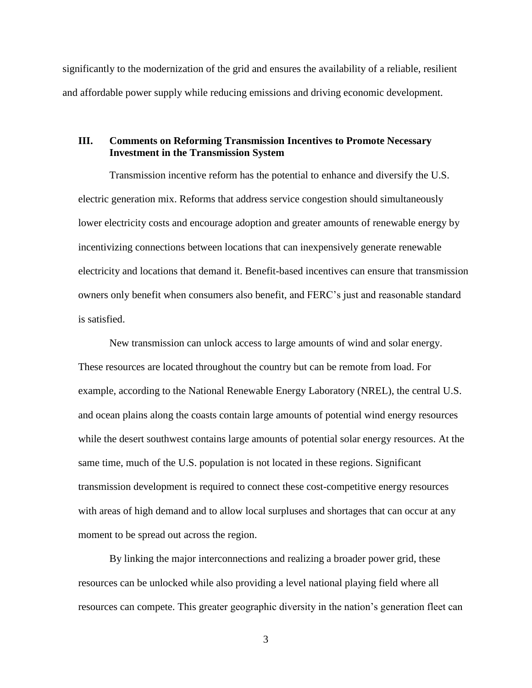significantly to the modernization of the grid and ensures the availability of a reliable, resilient and affordable power supply while reducing emissions and driving economic development.

## **III. Comments on Reforming Transmission Incentives to Promote Necessary Investment in the Transmission System**

Transmission incentive reform has the potential to enhance and diversify the U.S. electric generation mix. Reforms that address service congestion should simultaneously lower electricity costs and encourage adoption and greater amounts of renewable energy by incentivizing connections between locations that can inexpensively generate renewable electricity and locations that demand it. Benefit-based incentives can ensure that transmission owners only benefit when consumers also benefit, and FERC's just and reasonable standard is satisfied.

New transmission can unlock access to large amounts of wind and solar energy. These resources are located throughout the country but can be remote from load. For example, according to the National Renewable Energy Laboratory (NREL), the central U.S. and ocean plains along the coasts contain large amounts of potential wind energy resources while the desert southwest contains large amounts of potential solar energy resources. At the same time, much of the U.S. population is not located in these regions. Significant transmission development is required to connect these cost-competitive energy resources with areas of high demand and to allow local surpluses and shortages that can occur at any moment to be spread out across the region.

By linking the major interconnections and realizing a broader power grid, these resources can be unlocked while also providing a level national playing field where all resources can compete. This greater geographic diversity in the nation's generation fleet can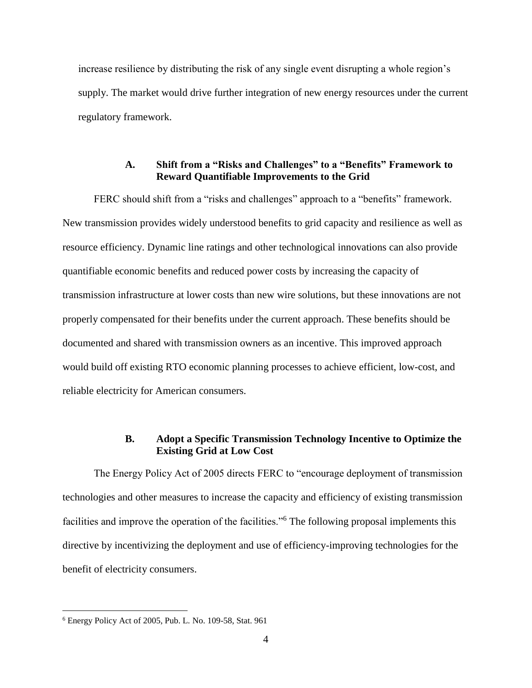increase resilience by distributing the risk of any single event disrupting a whole region's supply. The market would drive further integration of new energy resources under the current regulatory framework.

# **A. Shift from a "Risks and Challenges" to a "Benefits" Framework to Reward Quantifiable Improvements to the Grid**

FERC should shift from a "risks and challenges" approach to a "benefits" framework. New transmission provides widely understood benefits to grid capacity and resilience as well as resource efficiency. Dynamic line ratings and other technological innovations can also provide quantifiable economic benefits and reduced power costs by increasing the capacity of transmission infrastructure at lower costs than new wire solutions, but these innovations are not properly compensated for their benefits under the current approach. These benefits should be documented and shared with transmission owners as an incentive. This improved approach would build off existing RTO economic planning processes to achieve efficient, low-cost, and reliable electricity for American consumers.

## **B. Adopt a Specific Transmission Technology Incentive to Optimize the Existing Grid at Low Cost**

The Energy Policy Act of 2005 directs FERC to "encourage deployment of transmission technologies and other measures to increase the capacity and efficiency of existing transmission facilities and improve the operation of the facilities."<sup>6</sup> The following proposal implements this directive by incentivizing the deployment and use of efficiency-improving technologies for the benefit of electricity consumers.

 $\overline{\phantom{a}}$ 

<sup>6</sup> Energy Policy Act of 2005, Pub. L. No. 109-58, Stat. 961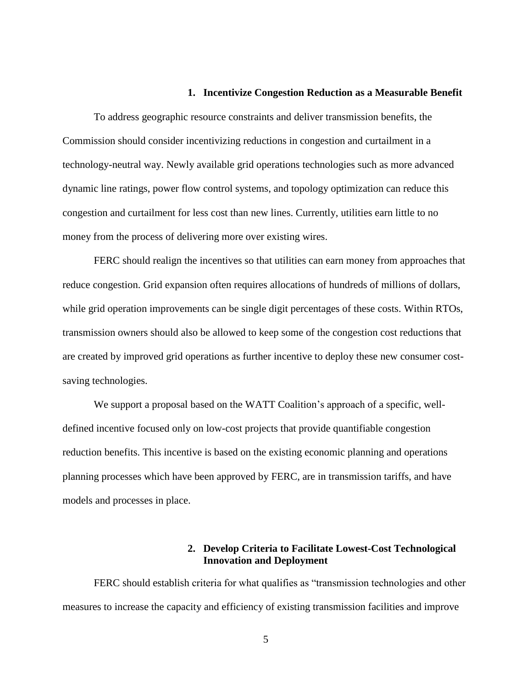#### **1. Incentivize Congestion Reduction as a Measurable Benefit**

To address geographic resource constraints and deliver transmission benefits, the Commission should consider incentivizing reductions in congestion and curtailment in a technology-neutral way. Newly available grid operations technologies such as more advanced dynamic line ratings, power flow control systems, and topology optimization can reduce this congestion and curtailment for less cost than new lines. Currently, utilities earn little to no money from the process of delivering more over existing wires.

FERC should realign the incentives so that utilities can earn money from approaches that reduce congestion. Grid expansion often requires allocations of hundreds of millions of dollars, while grid operation improvements can be single digit percentages of these costs. Within RTOs, transmission owners should also be allowed to keep some of the congestion cost reductions that are created by improved grid operations as further incentive to deploy these new consumer costsaving technologies.

We support a proposal based on the WATT Coalition's approach of a specific, welldefined incentive focused only on low-cost projects that provide quantifiable congestion reduction benefits. This incentive is based on the existing economic planning and operations planning processes which have been approved by FERC, are in transmission tariffs, and have models and processes in place.

## **2. Develop Criteria to Facilitate Lowest-Cost Technological Innovation and Deployment**

FERC should establish criteria for what qualifies as "transmission technologies and other measures to increase the capacity and efficiency of existing transmission facilities and improve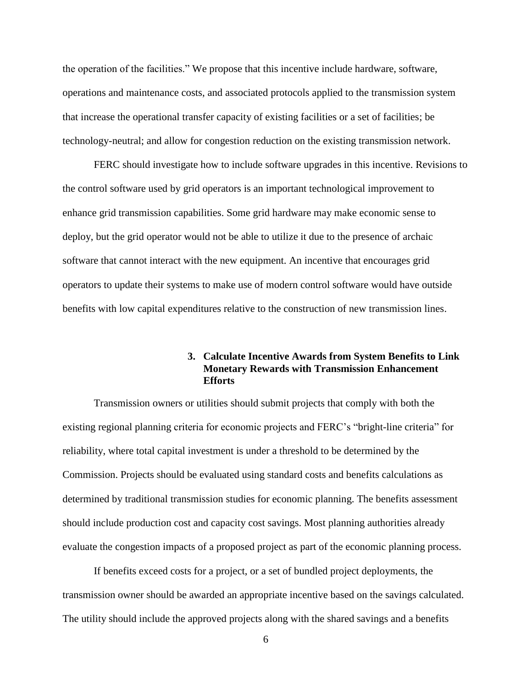the operation of the facilities." We propose that this incentive include hardware, software, operations and maintenance costs, and associated protocols applied to the transmission system that increase the operational transfer capacity of existing facilities or a set of facilities; be technology-neutral; and allow for congestion reduction on the existing transmission network.

FERC should investigate how to include software upgrades in this incentive. Revisions to the control software used by grid operators is an important technological improvement to enhance grid transmission capabilities. Some grid hardware may make economic sense to deploy, but the grid operator would not be able to utilize it due to the presence of archaic software that cannot interact with the new equipment. An incentive that encourages grid operators to update their systems to make use of modern control software would have outside benefits with low capital expenditures relative to the construction of new transmission lines.

## **3. Calculate Incentive Awards from System Benefits to Link Monetary Rewards with Transmission Enhancement Efforts**

Transmission owners or utilities should submit projects that comply with both the existing regional planning criteria for economic projects and FERC's "bright-line criteria" for reliability, where total capital investment is under a threshold to be determined by the Commission. Projects should be evaluated using standard costs and benefits calculations as determined by traditional transmission studies for economic planning. The benefits assessment should include production cost and capacity cost savings. Most planning authorities already evaluate the congestion impacts of a proposed project as part of the economic planning process.

If benefits exceed costs for a project, or a set of bundled project deployments, the transmission owner should be awarded an appropriate incentive based on the savings calculated. The utility should include the approved projects along with the shared savings and a benefits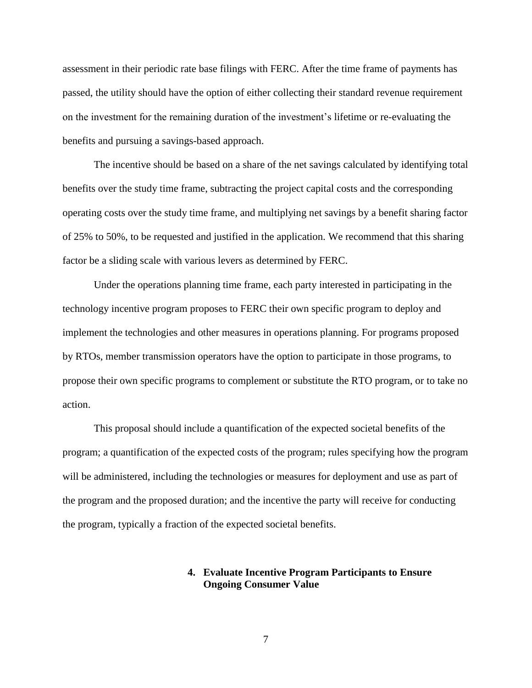assessment in their periodic rate base filings with FERC. After the time frame of payments has passed, the utility should have the option of either collecting their standard revenue requirement on the investment for the remaining duration of the investment's lifetime or re-evaluating the benefits and pursuing a savings-based approach.

The incentive should be based on a share of the net savings calculated by identifying total benefits over the study time frame, subtracting the project capital costs and the corresponding operating costs over the study time frame, and multiplying net savings by a benefit sharing factor of 25% to 50%, to be requested and justified in the application. We recommend that this sharing factor be a sliding scale with various levers as determined by FERC.

Under the operations planning time frame, each party interested in participating in the technology incentive program proposes to FERC their own specific program to deploy and implement the technologies and other measures in operations planning. For programs proposed by RTOs, member transmission operators have the option to participate in those programs, to propose their own specific programs to complement or substitute the RTO program, or to take no action.

This proposal should include a quantification of the expected societal benefits of the program; a quantification of the expected costs of the program; rules specifying how the program will be administered, including the technologies or measures for deployment and use as part of the program and the proposed duration; and the incentive the party will receive for conducting the program, typically a fraction of the expected societal benefits.

#### **4. Evaluate Incentive Program Participants to Ensure Ongoing Consumer Value**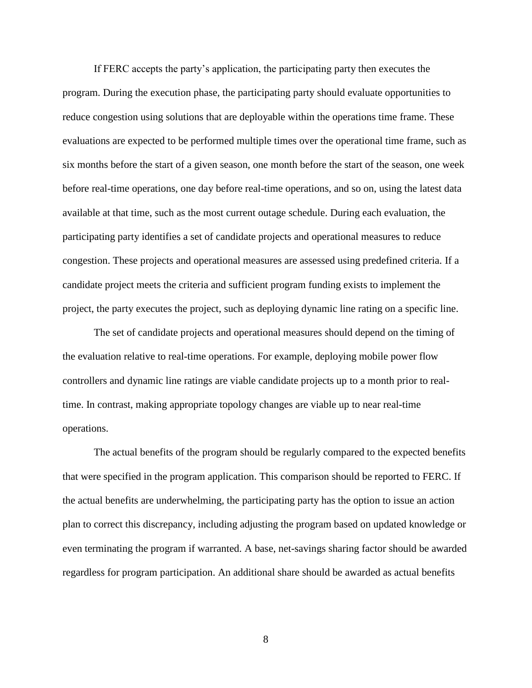If FERC accepts the party's application, the participating party then executes the program. During the execution phase, the participating party should evaluate opportunities to reduce congestion using solutions that are deployable within the operations time frame. These evaluations are expected to be performed multiple times over the operational time frame, such as six months before the start of a given season, one month before the start of the season, one week before real-time operations, one day before real-time operations, and so on, using the latest data available at that time, such as the most current outage schedule. During each evaluation, the participating party identifies a set of candidate projects and operational measures to reduce congestion. These projects and operational measures are assessed using predefined criteria. If a candidate project meets the criteria and sufficient program funding exists to implement the project, the party executes the project, such as deploying dynamic line rating on a specific line.

The set of candidate projects and operational measures should depend on the timing of the evaluation relative to real-time operations. For example, deploying mobile power flow controllers and dynamic line ratings are viable candidate projects up to a month prior to realtime. In contrast, making appropriate topology changes are viable up to near real-time operations.

The actual benefits of the program should be regularly compared to the expected benefits that were specified in the program application. This comparison should be reported to FERC. If the actual benefits are underwhelming, the participating party has the option to issue an action plan to correct this discrepancy, including adjusting the program based on updated knowledge or even terminating the program if warranted. A base, net-savings sharing factor should be awarded regardless for program participation. An additional share should be awarded as actual benefits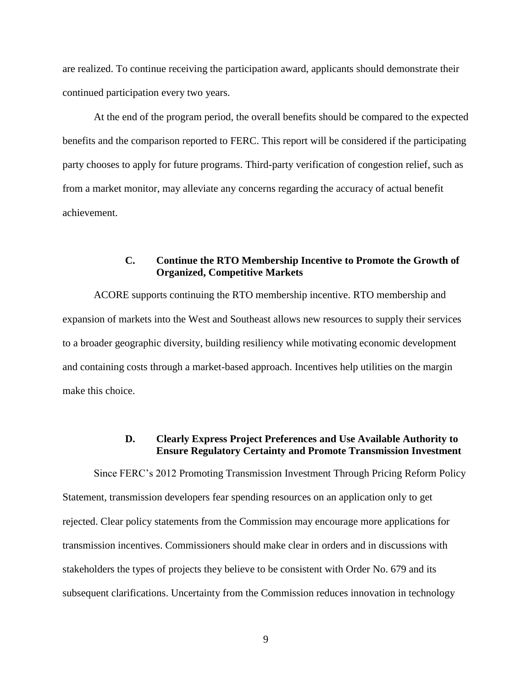are realized. To continue receiving the participation award, applicants should demonstrate their continued participation every two years.

At the end of the program period, the overall benefits should be compared to the expected benefits and the comparison reported to FERC. This report will be considered if the participating party chooses to apply for future programs. Third-party verification of congestion relief, such as from a market monitor, may alleviate any concerns regarding the accuracy of actual benefit achievement.

## **C. Continue the RTO Membership Incentive to Promote the Growth of Organized, Competitive Markets**

ACORE supports continuing the RTO membership incentive. RTO membership and expansion of markets into the West and Southeast allows new resources to supply their services to a broader geographic diversity, building resiliency while motivating economic development and containing costs through a market-based approach. Incentives help utilities on the margin make this choice.

#### **D. Clearly Express Project Preferences and Use Available Authority to Ensure Regulatory Certainty and Promote Transmission Investment**

Since FERC's 2012 Promoting Transmission Investment Through Pricing Reform Policy Statement, transmission developers fear spending resources on an application only to get rejected. Clear policy statements from the Commission may encourage more applications for transmission incentives. Commissioners should make clear in orders and in discussions with stakeholders the types of projects they believe to be consistent with Order No. 679 and its subsequent clarifications. Uncertainty from the Commission reduces innovation in technology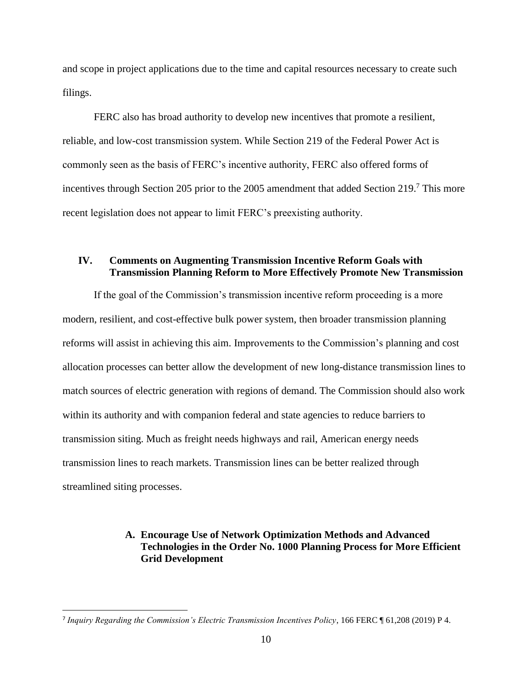and scope in project applications due to the time and capital resources necessary to create such filings.

FERC also has broad authority to develop new incentives that promote a resilient, reliable, and low-cost transmission system. While Section 219 of the Federal Power Act is commonly seen as the basis of FERC's incentive authority, FERC also offered forms of incentives through Section 205 prior to the 2005 amendment that added Section 219.<sup>7</sup> This more recent legislation does not appear to limit FERC's preexisting authority.

## **IV. Comments on Augmenting Transmission Incentive Reform Goals with Transmission Planning Reform to More Effectively Promote New Transmission**

If the goal of the Commission's transmission incentive reform proceeding is a more modern, resilient, and cost-effective bulk power system, then broader transmission planning reforms will assist in achieving this aim. Improvements to the Commission's planning and cost allocation processes can better allow the development of new long-distance transmission lines to match sources of electric generation with regions of demand. The Commission should also work within its authority and with companion federal and state agencies to reduce barriers to transmission siting. Much as freight needs highways and rail, American energy needs transmission lines to reach markets. Transmission lines can be better realized through streamlined siting processes.

# **A. Encourage Use of Network Optimization Methods and Advanced Technologies in the Order No. 1000 Planning Process for More Efficient Grid Development**

 $\overline{\phantom{a}}$ 

<sup>7</sup> *Inquiry Regarding the Commission's Electric Transmission Incentives Policy*, 166 FERC ¶ 61,208 (2019) P 4.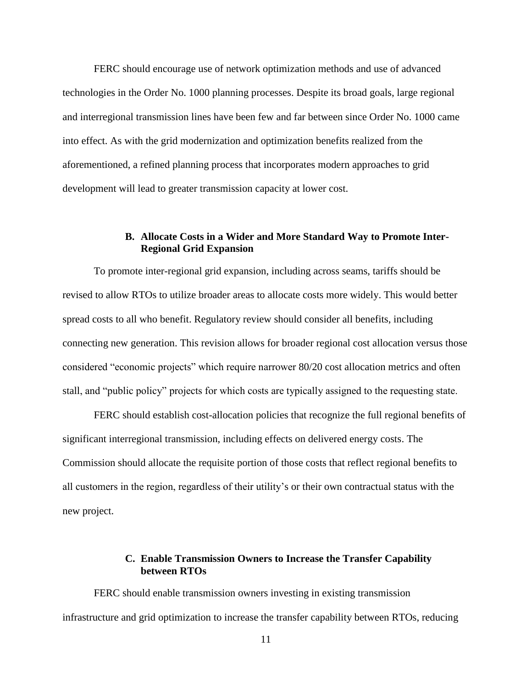FERC should encourage use of network optimization methods and use of advanced technologies in the Order No. 1000 planning processes. Despite its broad goals, large regional and interregional transmission lines have been few and far between since Order No. 1000 came into effect. As with the grid modernization and optimization benefits realized from the aforementioned, a refined planning process that incorporates modern approaches to grid development will lead to greater transmission capacity at lower cost.

### **B. Allocate Costs in a Wider and More Standard Way to Promote Inter-Regional Grid Expansion**

To promote inter-regional grid expansion, including across seams, tariffs should be revised to allow RTOs to utilize broader areas to allocate costs more widely. This would better spread costs to all who benefit. Regulatory review should consider all benefits, including connecting new generation. This revision allows for broader regional cost allocation versus those considered "economic projects" which require narrower 80/20 cost allocation metrics and often stall, and "public policy" projects for which costs are typically assigned to the requesting state.

FERC should establish cost-allocation policies that recognize the full regional benefits of significant interregional transmission, including effects on delivered energy costs. The Commission should allocate the requisite portion of those costs that reflect regional benefits to all customers in the region, regardless of their utility's or their own contractual status with the new project.

## **C. Enable Transmission Owners to Increase the Transfer Capability between RTOs**

FERC should enable transmission owners investing in existing transmission infrastructure and grid optimization to increase the transfer capability between RTOs, reducing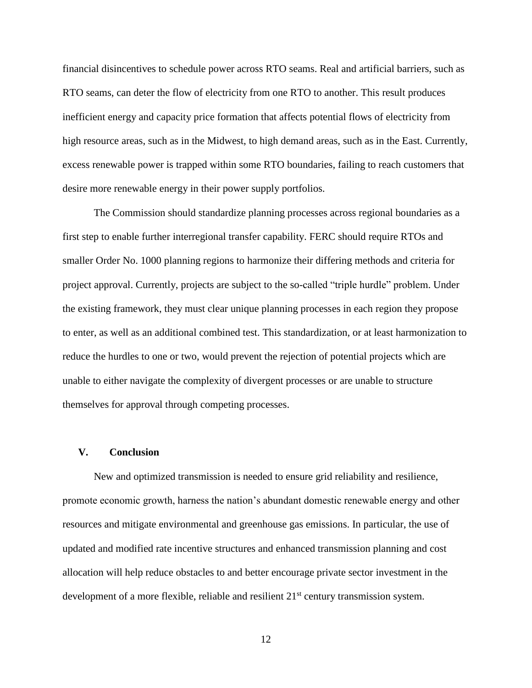financial disincentives to schedule power across RTO seams. Real and artificial barriers, such as RTO seams, can deter the flow of electricity from one RTO to another. This result produces inefficient energy and capacity price formation that affects potential flows of electricity from high resource areas, such as in the Midwest, to high demand areas, such as in the East. Currently, excess renewable power is trapped within some RTO boundaries, failing to reach customers that desire more renewable energy in their power supply portfolios.

The Commission should standardize planning processes across regional boundaries as a first step to enable further interregional transfer capability. FERC should require RTOs and smaller Order No. 1000 planning regions to harmonize their differing methods and criteria for project approval. Currently, projects are subject to the so-called "triple hurdle" problem. Under the existing framework, they must clear unique planning processes in each region they propose to enter, as well as an additional combined test. This standardization, or at least harmonization to reduce the hurdles to one or two, would prevent the rejection of potential projects which are unable to either navigate the complexity of divergent processes or are unable to structure themselves for approval through competing processes.

#### **V. Conclusion**

New and optimized transmission is needed to ensure grid reliability and resilience, promote economic growth, harness the nation's abundant domestic renewable energy and other resources and mitigate environmental and greenhouse gas emissions. In particular, the use of updated and modified rate incentive structures and enhanced transmission planning and cost allocation will help reduce obstacles to and better encourage private sector investment in the development of a more flexible, reliable and resilient 21<sup>st</sup> century transmission system.